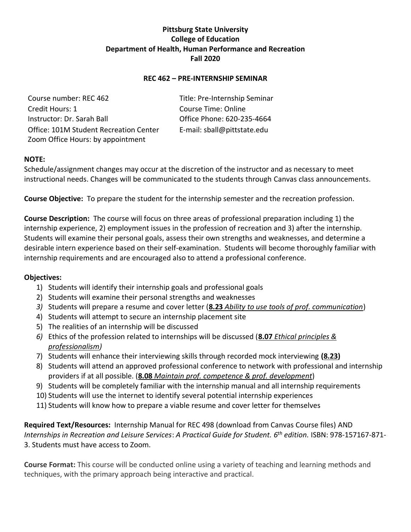# **Pittsburg State University College of Education Department of Health, Human Performance and Recreation Fall 2020**

### **REC 462 – PRE-INTERNSHIP SEMINAR**

Course number: REC 462 Title: Pre-Internship Seminar Credit Hours: 1 Course Time: Online Instructor: Dr. Sarah Ball Office Phone: 620-235-4664 Office: 101M Student Recreation Center E-mail: sball@pittstate.edu Zoom Office Hours: by appointment

## **NOTE:**

Schedule/assignment changes may occur at the discretion of the instructor and as necessary to meet instructional needs. Changes will be communicated to the students through Canvas class announcements.

**Course Objective:** To prepare the student for the internship semester and the recreation profession.

**Course Description:** The course will focus on three areas of professional preparation including 1) the internship experience, 2) employment issues in the profession of recreation and 3) after the internship. Students will examine their personal goals, assess their own strengths and weaknesses, and determine a desirable intern experience based on their self-examination. Students will become thoroughly familiar with internship requirements and are encouraged also to attend a professional conference.

#### **Objectives:**

- 1) Students will identify their internship goals and professional goals
- 2) Students will examine their personal strengths and weaknesses
- *3)* Students will prepare a resume and cover letter (**8.23** *Ability to use tools of prof. communication*)
- 4) Students will attempt to secure an internship placement site
- 5) The realities of an internship will be discussed
- *6)* Ethics of the profession related to internships will be discussed (**8.07** *Ethical principles & professionalism)*
- 7) Students will enhance their interviewing skills through recorded mock interviewing **(8.23)**
- 8) Students will attend an approved professional conference to network with professional and internship providers if at all possible. (**8.08** *Maintain prof. competence & prof. development*)
- 9) Students will be completely familiar with the internship manual and all internship requirements
- 10) Students will use the internet to identify several potential internship experiences
- 11) Students will know how to prepare a viable resume and cover letter for themselves

**Required Text/Resources:** Internship Manual for REC 498 (download from Canvas Course files) AND *Internships in Recreation and Leisure Services*: *A Practical Guide for Student. 6 th edition.* ISBN: 978-157167-871- 3. Students must have access to Zoom.

**Course Format:** This course will be conducted online using a variety of teaching and learning methods and techniques, with the primary approach being interactive and practical.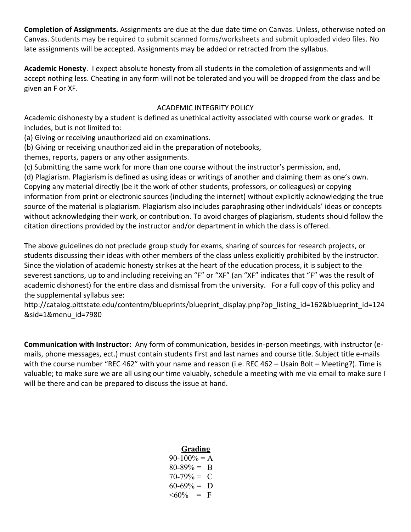**Completion of Assignments.** Assignments are due at the due date time on Canvas. Unless, otherwise noted on Canvas. Students may be required to submit scanned forms/worksheets and submit uploaded video files. No late assignments will be accepted. Assignments may be added or retracted from the syllabus.

**Academic Honesty**. I expect absolute honesty from all students in the completion of assignments and will accept nothing less. Cheating in any form will not be tolerated and you will be dropped from the class and be given an F or XF.

## ACADEMIC INTEGRITY POLICY

Academic dishonesty by a student is defined as unethical activity associated with course work or grades. It includes, but is not limited to:

(a) Giving or receiving unauthorized aid on examinations.

(b) Giving or receiving unauthorized aid in the preparation of notebooks,

themes, reports, papers or any other assignments.

(c) Submitting the same work for more than one course without the instructor's permission, and,

(d) Plagiarism. Plagiarism is defined as using ideas or writings of another and claiming them as one's own. Copying any material directly (be it the work of other students, professors, or colleagues) or copying information from print or electronic sources (including the internet) without explicitly acknowledging the true source of the material is plagiarism. Plagiarism also includes paraphrasing other individuals' ideas or concepts without acknowledging their work, or contribution. To avoid charges of plagiarism, students should follow the citation directions provided by the instructor and/or department in which the class is offered.

The above guidelines do not preclude group study for exams, sharing of sources for research projects, or students discussing their ideas with other members of the class unless explicitly prohibited by the instructor. Since the violation of academic honesty strikes at the heart of the education process, it is subject to the severest sanctions, up to and including receiving an "F" or "XF" (an "XF" indicates that "F" was the result of academic dishonest) for the entire class and dismissal from the university. For a full copy of this policy and the supplemental syllabus see:

[http://catalog.pittstate.edu/contentm/blueprints/blueprint\\_display.php?bp\\_listing\\_id=162&blueprint\\_id=124](http://catalog.pittstate.edu/contentm/blueprints/blueprint_display.php?bp_listing_id=162&blueprint_id=124&sid=1&menu_id=7980) [&sid=1&menu\\_id=7980](http://catalog.pittstate.edu/contentm/blueprints/blueprint_display.php?bp_listing_id=162&blueprint_id=124&sid=1&menu_id=7980)

**Communication with Instructor:** Any form of communication, besides in-person meetings, with instructor (emails, phone messages, ect.) must contain students first and last names and course title. Subject title e-mails with the course number "REC 462" with your name and reason (i.e. REC 462 – Usain Bolt – Meeting?). Time is valuable; to make sure we are all using our time valuably, schedule a meeting with me via email to make sure I will be there and can be prepared to discuss the issue at hand.

| Grading         |
|-----------------|
| $90-100% = A$   |
| $80 - 89\% = B$ |
| $70-79\% = C$   |
| $60-69\% = D$   |
| $<60\% = F$     |